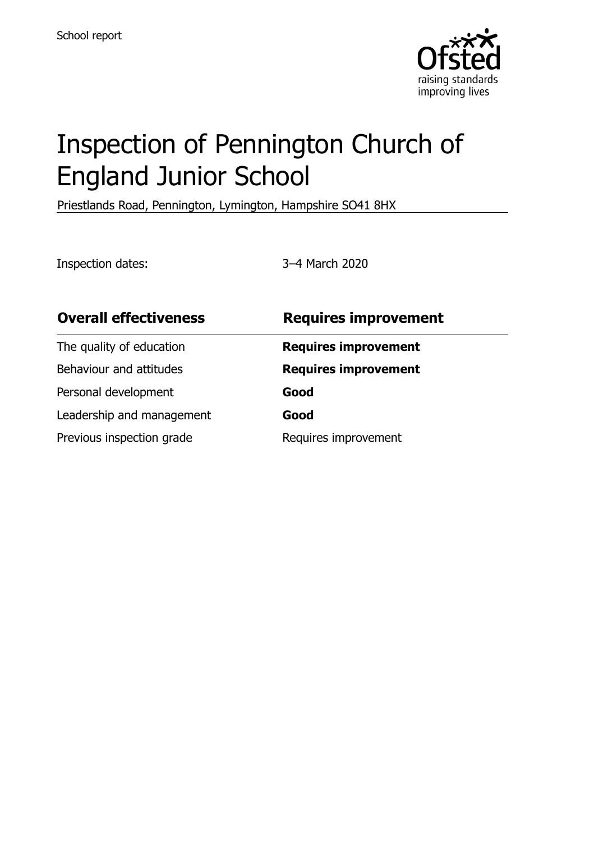

# Inspection of Pennington Church of England Junior School

Priestlands Road, Pennington, Lymington, Hampshire SO41 8HX

Inspection dates: 3–4 March 2020

| <b>Overall effectiveness</b> | <b>Requires improvement</b> |
|------------------------------|-----------------------------|
| The quality of education     | <b>Requires improvement</b> |
| Behaviour and attitudes      | <b>Requires improvement</b> |
| Personal development         | Good                        |
| Leadership and management    | Good                        |
| Previous inspection grade    | Requires improvement        |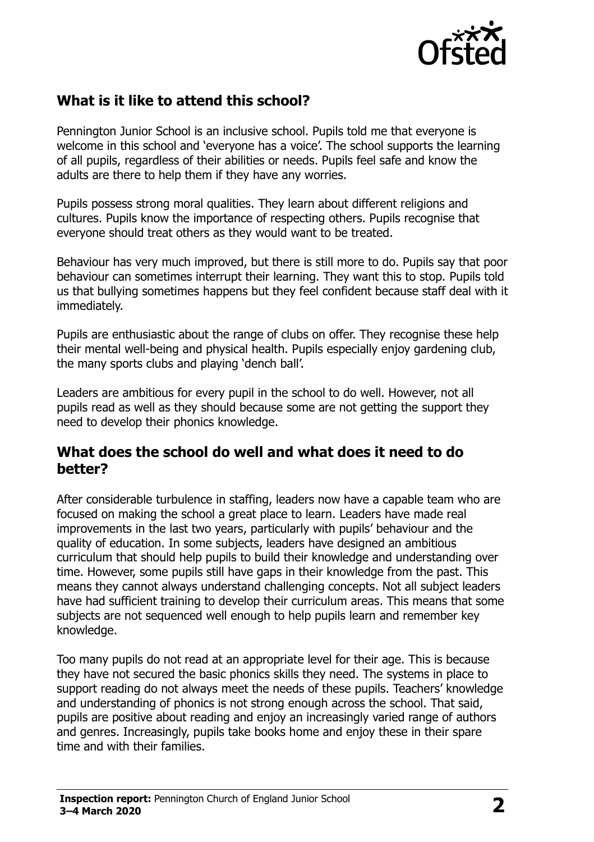

# **What is it like to attend this school?**

Pennington Junior School is an inclusive school. Pupils told me that everyone is welcome in this school and 'everyone has a voice'. The school supports the learning of all pupils, regardless of their abilities or needs. Pupils feel safe and know the adults are there to help them if they have any worries.

Pupils possess strong moral qualities. They learn about different religions and cultures. Pupils know the importance of respecting others. Pupils recognise that everyone should treat others as they would want to be treated.

Behaviour has very much improved, but there is still more to do. Pupils say that poor behaviour can sometimes interrupt their learning. They want this to stop. Pupils told us that bullying sometimes happens but they feel confident because staff deal with it immediately.

Pupils are enthusiastic about the range of clubs on offer. They recognise these help their mental well-being and physical health. Pupils especially enjoy gardening club, the many sports clubs and playing 'dench ball'.

Leaders are ambitious for every pupil in the school to do well. However, not all pupils read as well as they should because some are not getting the support they need to develop their phonics knowledge.

#### **What does the school do well and what does it need to do better?**

After considerable turbulence in staffing, leaders now have a capable team who are focused on making the school a great place to learn. Leaders have made real improvements in the last two years, particularly with pupils' behaviour and the quality of education. In some subjects, leaders have designed an ambitious curriculum that should help pupils to build their knowledge and understanding over time. However, some pupils still have gaps in their knowledge from the past. This means they cannot always understand challenging concepts. Not all subject leaders have had sufficient training to develop their curriculum areas. This means that some subjects are not sequenced well enough to help pupils learn and remember key knowledge.

Too many pupils do not read at an appropriate level for their age. This is because they have not secured the basic phonics skills they need. The systems in place to support reading do not always meet the needs of these pupils. Teachers' knowledge and understanding of phonics is not strong enough across the school. That said, pupils are positive about reading and enjoy an increasingly varied range of authors and genres. Increasingly, pupils take books home and enjoy these in their spare time and with their families.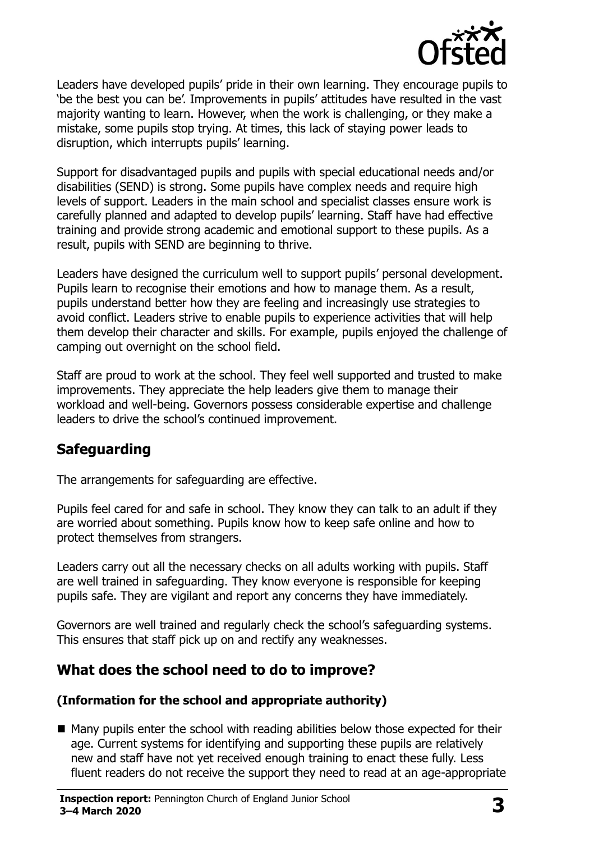

Leaders have developed pupils' pride in their own learning. They encourage pupils to 'be the best you can be'. Improvements in pupils' attitudes have resulted in the vast majority wanting to learn. However, when the work is challenging, or they make a mistake, some pupils stop trying. At times, this lack of staying power leads to disruption, which interrupts pupils' learning.

Support for disadvantaged pupils and pupils with special educational needs and/or disabilities (SEND) is strong. Some pupils have complex needs and require high levels of support. Leaders in the main school and specialist classes ensure work is carefully planned and adapted to develop pupils' learning. Staff have had effective training and provide strong academic and emotional support to these pupils. As a result, pupils with SEND are beginning to thrive.

Leaders have designed the curriculum well to support pupils' personal development. Pupils learn to recognise their emotions and how to manage them. As a result, pupils understand better how they are feeling and increasingly use strategies to avoid conflict. Leaders strive to enable pupils to experience activities that will help them develop their character and skills. For example, pupils enjoyed the challenge of camping out overnight on the school field.

Staff are proud to work at the school. They feel well supported and trusted to make improvements. They appreciate the help leaders give them to manage their workload and well-being. Governors possess considerable expertise and challenge leaders to drive the school's continued improvement.

# **Safeguarding**

The arrangements for safeguarding are effective.

Pupils feel cared for and safe in school. They know they can talk to an adult if they are worried about something. Pupils know how to keep safe online and how to protect themselves from strangers.

Leaders carry out all the necessary checks on all adults working with pupils. Staff are well trained in safeguarding. They know everyone is responsible for keeping pupils safe. They are vigilant and report any concerns they have immediately.

Governors are well trained and regularly check the school's safeguarding systems. This ensures that staff pick up on and rectify any weaknesses.

# **What does the school need to do to improve?**

#### **(Information for the school and appropriate authority)**

■ Many pupils enter the school with reading abilities below those expected for their age. Current systems for identifying and supporting these pupils are relatively new and staff have not yet received enough training to enact these fully. Less fluent readers do not receive the support they need to read at an age-appropriate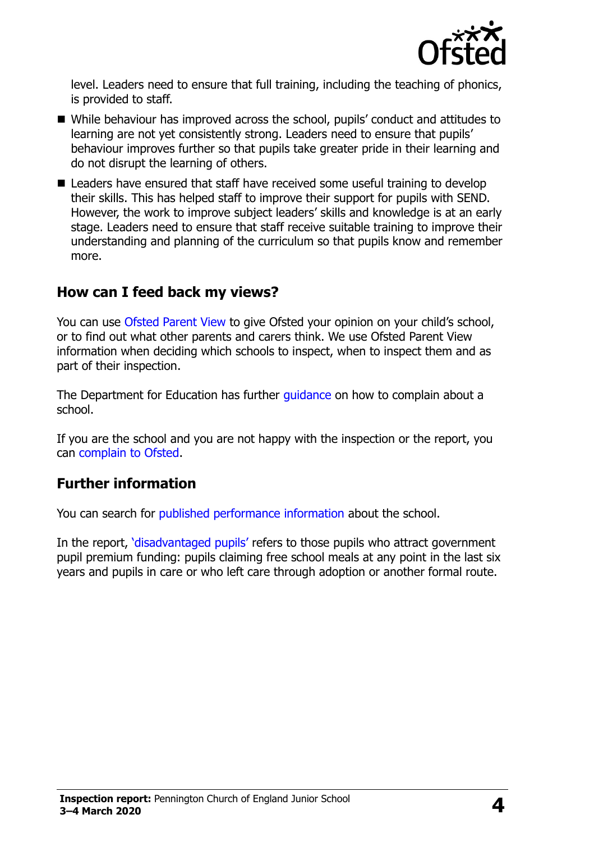

level. Leaders need to ensure that full training, including the teaching of phonics, is provided to staff.

- While behaviour has improved across the school, pupils' conduct and attitudes to learning are not yet consistently strong. Leaders need to ensure that pupils' behaviour improves further so that pupils take greater pride in their learning and do not disrupt the learning of others.
- Leaders have ensured that staff have received some useful training to develop their skills. This has helped staff to improve their support for pupils with SEND. However, the work to improve subject leaders' skills and knowledge is at an early stage. Leaders need to ensure that staff receive suitable training to improve their understanding and planning of the curriculum so that pupils know and remember more.

### **How can I feed back my views?**

You can use [Ofsted Parent View](http://parentview.ofsted.gov.uk/) to give Ofsted your opinion on your child's school, or to find out what other parents and carers think. We use Ofsted Parent View information when deciding which schools to inspect, when to inspect them and as part of their inspection.

The Department for Education has further quidance on how to complain about a school.

If you are the school and you are not happy with the inspection or the report, you can [complain to Ofsted.](http://www.gov.uk/complain-ofsted-report)

### **Further information**

You can search for [published performance information](http://www.compare-school-performance.service.gov.uk/) about the school.

In the report, '[disadvantaged pupils](http://www.gov.uk/guidance/pupil-premium-information-for-schools-and-alternative-provision-settings)' refers to those pupils who attract government pupil premium funding: pupils claiming free school meals at any point in the last six years and pupils in care or who left care through adoption or another formal route.

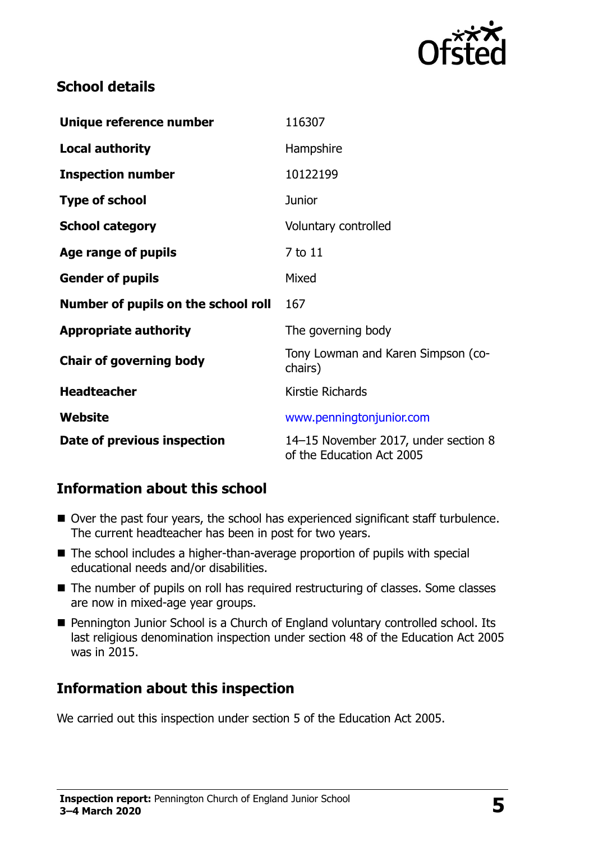

# **School details**

| Unique reference number             | 116307                                                            |
|-------------------------------------|-------------------------------------------------------------------|
| <b>Local authority</b>              | Hampshire                                                         |
| <b>Inspection number</b>            | 10122199                                                          |
| <b>Type of school</b>               | <b>Junior</b>                                                     |
| <b>School category</b>              | Voluntary controlled                                              |
| Age range of pupils                 | 7 to 11                                                           |
| <b>Gender of pupils</b>             | Mixed                                                             |
| Number of pupils on the school roll | 167                                                               |
| <b>Appropriate authority</b>        | The governing body                                                |
| <b>Chair of governing body</b>      | Tony Lowman and Karen Simpson (co-<br>chairs)                     |
| <b>Headteacher</b>                  | Kirstie Richards                                                  |
| Website                             | www.penningtonjunior.com                                          |
| Date of previous inspection         | 14-15 November 2017, under section 8<br>of the Education Act 2005 |

### **Information about this school**

- Over the past four years, the school has experienced significant staff turbulence. The current headteacher has been in post for two years.
- The school includes a higher-than-average proportion of pupils with special educational needs and/or disabilities.
- The number of pupils on roll has required restructuring of classes. Some classes are now in mixed-age year groups.
- Pennington Junior School is a Church of England voluntary controlled school. Its last religious denomination inspection under section 48 of the Education Act 2005 was in 2015.

# **Information about this inspection**

We carried out this inspection under section 5 of the Education Act 2005.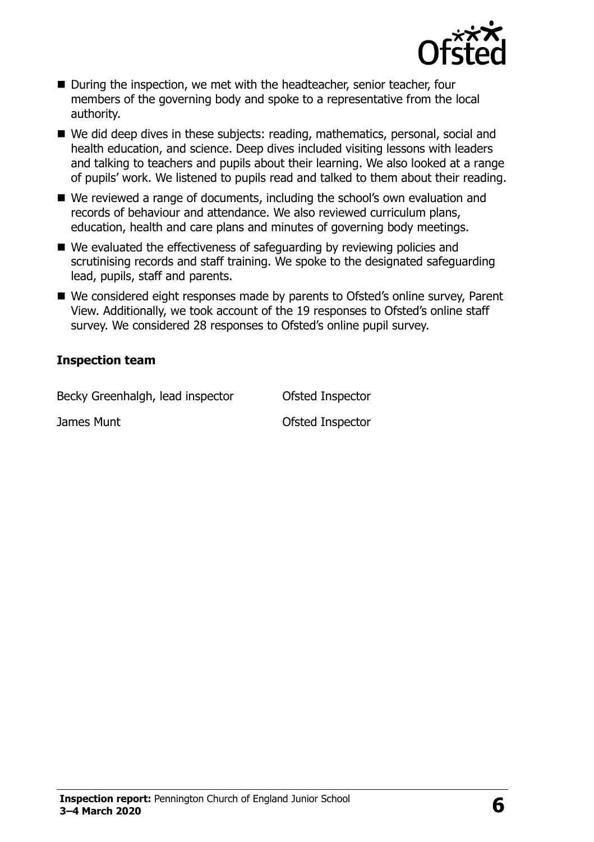

- During the inspection, we met with the headteacher, senior teacher, four members of the governing body and spoke to a representative from the local authority.
- We did deep dives in these subjects: reading, mathematics, personal, social and health education, and science. Deep dives included visiting lessons with leaders and talking to teachers and pupils about their learning. We also looked at a range of pupils' work. We listened to pupils read and talked to them about their reading.
- We reviewed a range of documents, including the school's own evaluation and records of behaviour and attendance. We also reviewed curriculum plans, education, health and care plans and minutes of governing body meetings.
- We evaluated the effectiveness of safeguarding by reviewing policies and scrutinising records and staff training. We spoke to the designated safeguarding lead, pupils, staff and parents.
- We considered eight responses made by parents to Ofsted's online survey, Parent View. Additionally, we took account of the 19 responses to Ofsted's online staff survey. We considered 28 responses to Ofsted's online pupil survey.

#### **Inspection team**

Becky Greenhalgh, lead inspector **Ofsted Inspector** 

James Munt **Disk and America** Control of Sted Inspector